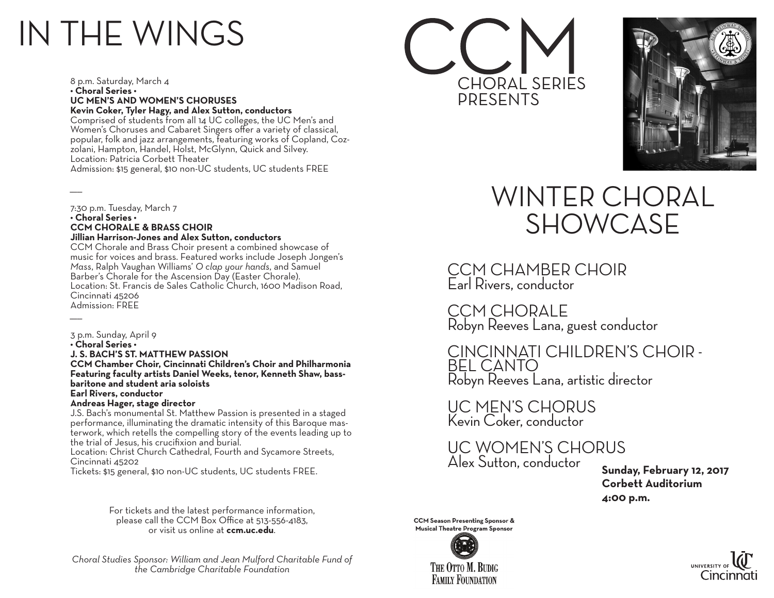## IN THE WINGS

8 p.m. Saturday, March 4 **• Choral Series • UC MEN'S AND WOMEN'S CHORUSES Kevin Coker, Tyler Hagy, and Alex Sutton, conductors**

Comprised of students from all 14 UC colleges, the UC Men's and Women's Choruses and Cabaret Singers offer a variety of classical, popular, folk and jazz arrangements, featuring works of Copland, Cozzolani, Hampton, Handel, Holst, McGlynn, Quick and Silvey. Location: Patricia Corbett Theater Admission: \$15 general, \$10 non-UC students, UC students FREE

7:30 p.m. Tuesday, March 7 **• Choral Series • CCM CHORALE & BRASS CHOIR Jillian Harrison-Jones and Alex Sutton, conductors**

CCM Chorale and Brass Choir present a combined showcase of music for voices and brass. Featured works include Joseph Jongen's *Mass*, Ralph Vaughan Williams' *O clap your hands*, and Samuel Barber's Chorale for the Ascension Day (Easter Chorale). Location: St. Francis de Sales Catholic Church, 1600 Madison Road, Cincinnati 45206 Admission: FREE

*\_\_\_\_\_*

*\_\_\_\_\_*

3 p.m. Sunday, April 9 **• Choral Series • J. S. BACH'S ST. MATTHEW PASSION CCM Chamber Choir, Cincinnati Children's Choir and Philharmonia Featuring faculty artists Daniel Weeks, tenor, Kenneth Shaw, bassbaritone and student aria soloists**

**Earl Rivers, conductor**

#### **Andreas Hager, stage director**

J.S. Bach's monumental St. Matthew Passion is presented in a staged performance, illuminating the dramatic intensity of this Baroque masterwork, which retells the compelling story of the events leading up to the trial of Jesus, his crucifixion and burial.

Location: Christ Church Cathedral, Fourth and Sycamore Streets, Cincinnati 45202

Tickets: \$15 general, \$10 non-UC students, UC students FREE.

For tickets and the latest performance information, please call the CCM Box Office at 513-556-4183, or visit us online at **ccm.uc.edu**.

*Choral Studies Sponsor: William and Jean Mulford Charitable Fund of the Cambridge Charitable Foundation*





## WINTER CHORAL SHOWCASE

CCM CHAMBER CHOIR Earl Rivers, conductor

CCM CHORALE Robyn Reeves Lana, guest conductor

CINCINNATI CHILDREN'S CHOIR - BEL CANTO Robyn Reeves Lana, artistic director

UC MEN'S CHORUS Kevin Coker, conductor

UC WOMEN'S CHORUS Alex Sutton, conductor

**Sunday, February 12, 2017 Corbett Auditorium 4:00 p.m.**

**CCM Season Presenting Sponsor &** Musical Theatre Program Sponsor